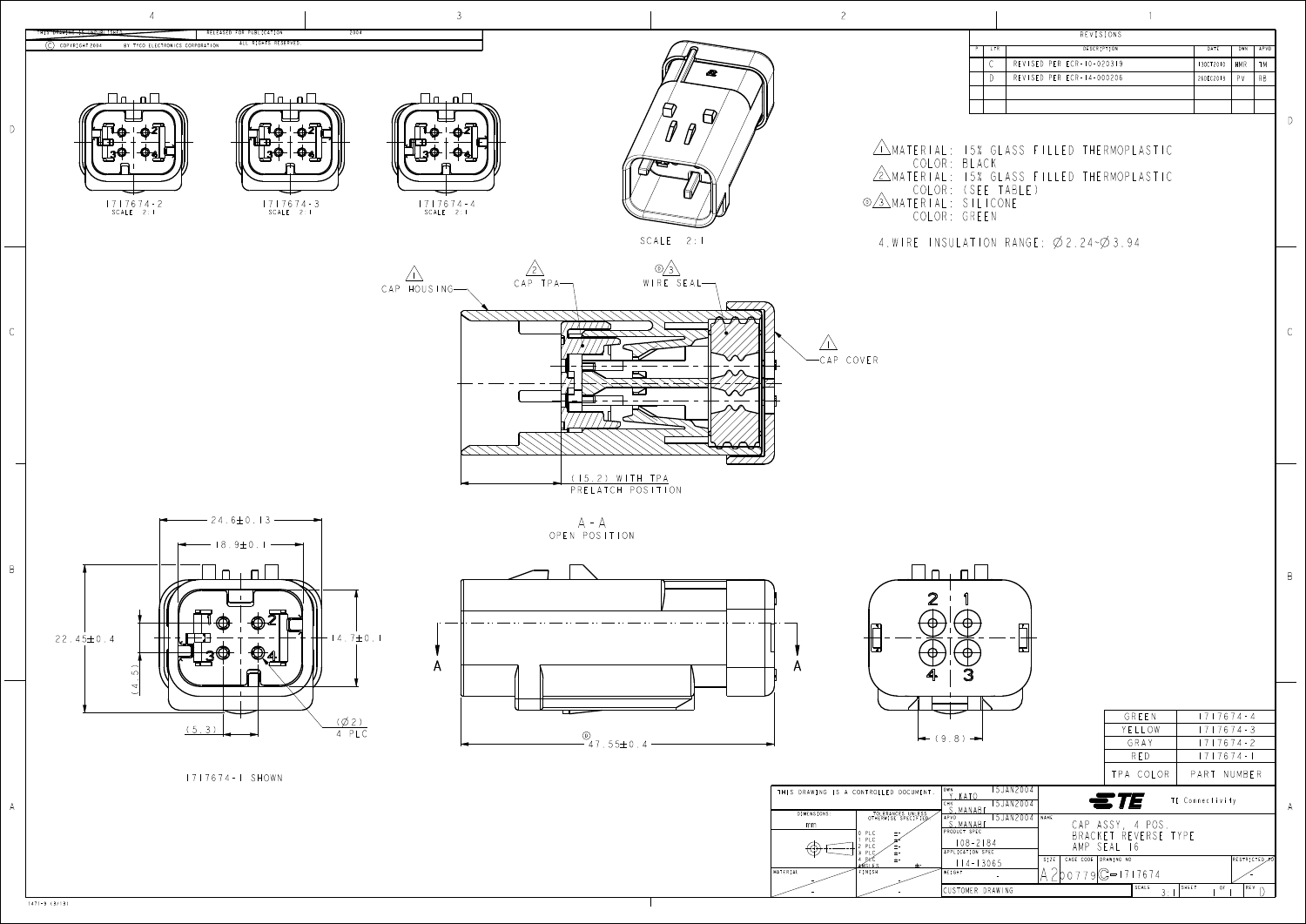D

B



1471-9 (3/13)

MATERIAL FINISH

CUSTOMER DRAWING

| I<br>I |  |
|--------|--|

|  |      | REVISIONS                 |           |     |      |
|--|------|---------------------------|-----------|-----|------|
|  | I TR | DESCRIPTION               | DATE      | DWN | APVD |
|  | ⌒    | REVISED PER ECR-10-020319 | 130CT2010 | HMR | TМ   |
|  |      | REVISED PER ECR-14-000206 | 26DEC2013 | PV  | RB.  |
|  |      |                           |           |     |      |
|  |      |                           |           |     |      |

- - -

-

SCALE  $3:1$   $3:1$   $1$   $1$   $1$   $1$   $1$ 

A 200 / 196 - 1176

- -

WEIGHT